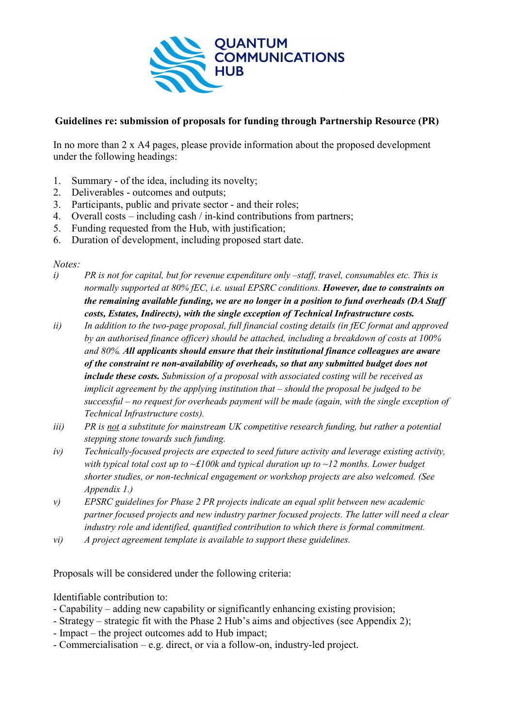

## **Guidelines re: submission of proposals for funding through Partnership Resource (PR)**

In no more than 2 x A4 pages, please provide information about the proposed development under the following headings:

- 1. Summary of the idea, including its novelty;
- 2. Deliverables outcomes and outputs;
- 3. Participants, public and private sector and their roles;
- 4. Overall costs including cash / in-kind contributions from partners;
- 5. Funding requested from the Hub, with justification;
- 6. Duration of development, including proposed start date.

*Notes:* 

- *i) PR is not for capital, but for revenue expenditure only –staff, travel, consumables etc. This is normally supported at 80% fEC, i.e. usual EPSRC conditions. However, due to constraints on the remaining available funding, we are no longer in a position to fund overheads (DA Staff costs, Estates, Indirects), with the single exception of Technical Infrastructure costs.*
- *ii) In addition to the two-page proposal, full financial costing details (in fEC format and approved by an authorised finance officer) should be attached, including a breakdown of costs at 100% and 80%. All applicants should ensure that their institutional finance colleagues are aware of the constraint re non-availability of overheads, so that any submitted budget does not include these costs. Submission of a proposal with associated costing will be received as implicit agreement by the applying institution that – should the proposal be judged to be successful – no request for overheads payment will be made (again, with the single exception of Technical Infrastructure costs).*
- *iii) PR is not a substitute for mainstream UK competitive research funding, but rather a potential stepping stone towards such funding.*
- *iv) Technically-focused projects are expected to seed future activity and leverage existing activity, with typical total cost up to ~£100k and typical duration up to ~12 months. Lower budget shorter studies, or non-technical engagement or workshop projects are also welcomed. (See Appendix 1.)*
- *v) EPSRC guidelines for Phase 2 PR projects indicate an equal split between new academic partner focused projects and new industry partner focused projects. The latter will need a clear industry role and identified, quantified contribution to which there is formal commitment.*
- *vi) A project agreement template is available to support these guidelines.*

Proposals will be considered under the following criteria:

Identifiable contribution to:

- Capability adding new capability or significantly enhancing existing provision;
- Strategy strategic fit with the Phase 2 Hub's aims and objectives (see Appendix 2);
- Impact the project outcomes add to Hub impact;
- Commercialisation e.g. direct, or via a follow-on, industry-led project.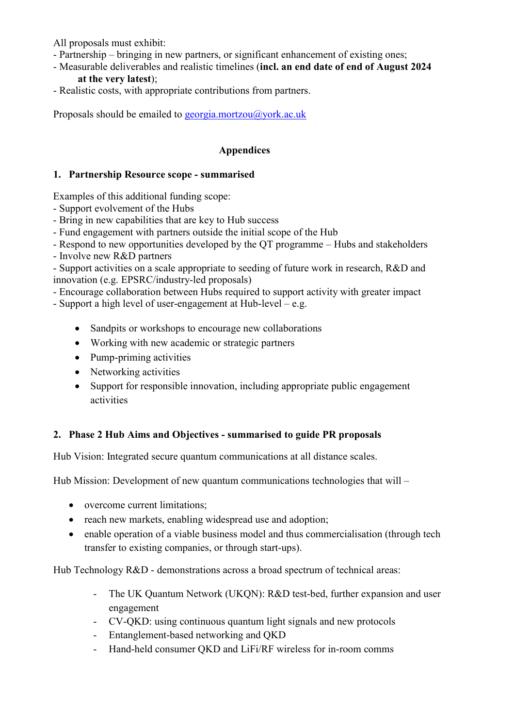All proposals must exhibit:

- Partnership bringing in new partners, or significant enhancement of existing ones;
- Measurable deliverables and realistic timelines (**incl. an end date of end of August 2024 at the very latest**);
- Realistic costs, with appropriate contributions from partners.

Proposals should be emailed to **georgia**.mortzou@york.ac.uk

## **Appendices**

## **1. Partnership Resource scope - summarised**

Examples of this additional funding scope:

- Support evolvement of the Hubs
- Bring in new capabilities that are key to Hub success
- Fund engagement with partners outside the initial scope of the Hub
- Respond to new opportunities developed by the QT programme Hubs and stakeholders

- Involve new R&D partners

- Support activities on a scale appropriate to seeding of future work in research, R&D and innovation (e.g. EPSRC/industry-led proposals)

- Encourage collaboration between Hubs required to support activity with greater impact

- Support a high level of user-engagement at Hub-level – e.g.

- Sandpits or workshops to encourage new collaborations
- Working with new academic or strategic partners
- Pump-priming activities
- Networking activities
- Support for responsible innovation, including appropriate public engagement activities

## **2. Phase 2 Hub Aims and Objectives - summarised to guide PR proposals**

Hub Vision: Integrated secure quantum communications at all distance scales.

Hub Mission: Development of new quantum communications technologies that will –

- overcome current limitations;
- reach new markets, enabling widespread use and adoption;
- enable operation of a viable business model and thus commercialisation (through tech transfer to existing companies, or through start-ups).

Hub Technology R&D - demonstrations across a broad spectrum of technical areas:

- The UK Quantum Network (UKQN): R&D test-bed, further expansion and user engagement
- CV-QKD: using continuous quantum light signals and new protocols
- Entanglement-based networking and QKD
- Hand-held consumer OKD and LiFi/RF wireless for in-room comms